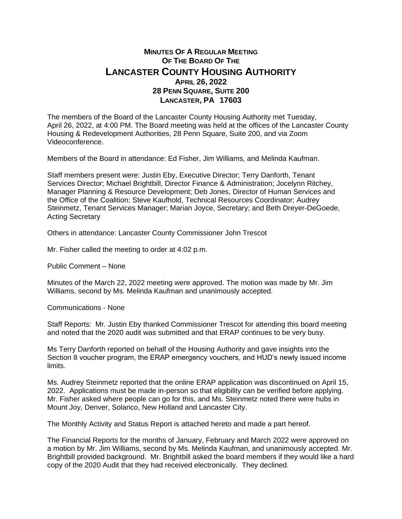## **MINUTES OF A REGULAR MEETING OF THE BOARD OF THE LANCASTER COUNTY HOUSING AUTHORITY APRIL 26, 2022 28 PENN SQUARE, SUITE 200 LANCASTER, PA 17603**

The members of the Board of the Lancaster County Housing Authority met Tuesday, April 26, 2022, at 4:00 PM. The Board meeting was held at the offices of the Lancaster County Housing & Redevelopment Authorities, 28 Penn Square, Suite 200, and via Zoom Videoconference.

Members of the Board in attendance: Ed Fisher, Jim Williams, and Melinda Kaufman.

Staff members present were: Justin Eby, Executive Director; Terry Danforth, Tenant Services Director; Michael Brightbill, Director Finance & Administration; Jocelynn Ritchey, Manager Planning & Resource Development; Deb Jones, Director of Human Services and the Office of the Coalition; Steve Kaufhold, Technical Resources Coordinator; Audrey Steinmetz, Tenant Services Manager; Marian Joyce, Secretary; and Beth Dreyer-DeGoede, Acting Secretary

Others in attendance: Lancaster County Commissioner John Trescot

Mr. Fisher called the meeting to order at 4:02 p.m.

Public Comment – None

Minutes of the March 22, 2022 meeting were approved. The motion was made by Mr. Jim Williams, second by Ms. Melinda Kaufman and unanimously accepted.

Communications - None

Staff Reports: Mr. Justin Eby thanked Commissioner Trescot for attending this board meeting and noted that the 2020 audit was submitted and that ERAP continues to be very busy.

Ms Terry Danforth reported on behalf of the Housing Authority and gave insights into the Section 8 voucher program, the ERAP emergency vouchers, and HUD's newly issued income limits.

Ms. Audrey Steinmetz reported that the online ERAP application was discontinued on April 15, 2022. Applications must be made in-person so that eligibility can be verified before applying. Mr. Fisher asked where people can go for this, and Ms. Steinmetz noted there were hubs in Mount Joy, Denver, Solanco, New Holland and Lancaster City.

The Monthly Activity and Status Report is attached hereto and made a part hereof.

The Financial Reports for the months of January, February and March 2022 were approved on a motion by Mr. Jim Williams, second by Ms. Melinda Kaufman, and unanimously accepted. Mr. Brightbill provided background. Mr. Brightbill asked the board members if they would like a hard copy of the 2020 Audit that they had received electronically. They declined.